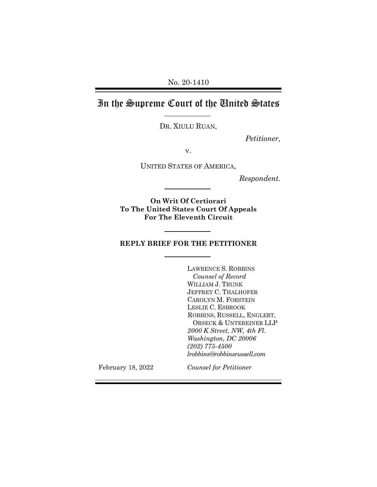No. 20-1410

# In the Supreme Court of the United States

DR. XIULU RUAN,

*Petitioner*,

v.

UNITED STATES OF AMERICA,

*Respondent.*

**On Writ Of Certiorari To The United States Court Of Appeals For The Eleventh Circuit**

### **REPLY BRIEF FOR THE PETITIONER**

LAWRENCE S. ROBBINS *Counsel of Record* WILLIAM J. TRUNK JEFFREY C. THALHOFER CAROLYN M. FORSTEIN LESLIE C. ESBROOK ROBBINS, RUSSELL, ENGLERT, ORSECK & UNTEREINER LLP *2000 K Street, NW, 4th Fl. Washington, DC 20006 (202) 775-4500 lrobbins@robbinsrussell.com*

February 18, 2022

*Counsel for Petitioner*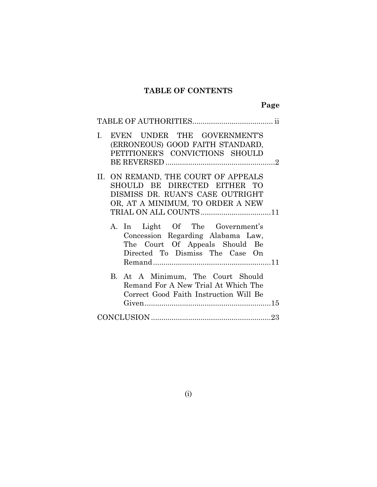## **TABLE OF CONTENTS**

| EVEN UNDER THE GOVERNMENT'S<br>L.<br>(ERRONEOUS) GOOD FAITH STANDARD,<br>PETITIONER'S CONVICTIONS SHOULD                                    |  |
|---------------------------------------------------------------------------------------------------------------------------------------------|--|
| II. ON REMAND, THE COURT OF APPEALS<br>SHOULD BE DIRECTED EITHER TO<br>DISMISS DR. RUAN'S CASE OUTRIGHT<br>OR, AT A MINIMUM, TO ORDER A NEW |  |
| A. In Light Of The Government's<br>Concession Regarding Alabama Law,<br>The Court Of Appeals Should Be<br>Directed To Dismiss The Case On   |  |
| B. At A Minimum, The Court Should<br>Remand For A New Trial At Which The<br>Correct Good Faith Instruction Will Be                          |  |
|                                                                                                                                             |  |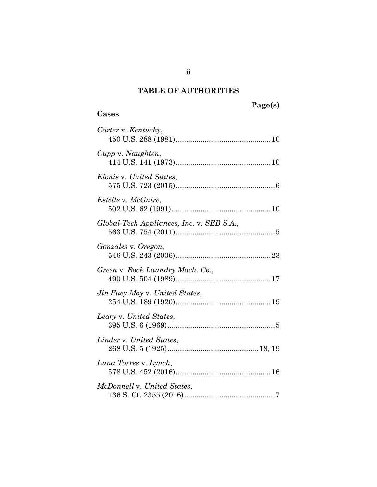## **TABLE OF AUTHORITIES**

## <span id="page-2-0"></span>**Page(s)**

### **Cases**

| Carter v. Kentucky,                       |
|-------------------------------------------|
| Cupp v. Naughten,                         |
| Elonis v. United States.                  |
| <i>Estelle v. McGuire,</i>                |
| Global-Tech Appliances, Inc. v. SEB S.A., |
| Gonzales v. Oregon,                       |
| Green v. Bock Laundry Mach. Co.,          |
| Jin Fuey Moy v. United States,            |
| Leary v. United States,                   |
| Linder v. United States,                  |
| Luna Torres v. Lynch,                     |
| McDonnell v. United States,               |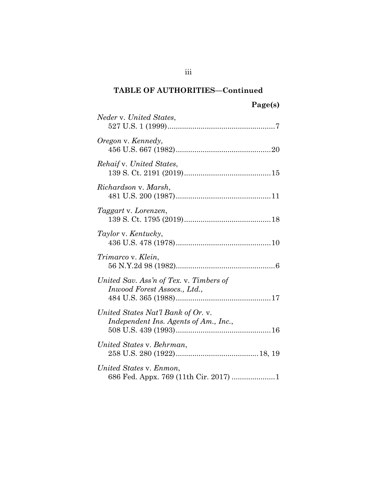## **TABLE OF AUTHORITIES—Continued**

| Neder v. United States,                                                     |
|-----------------------------------------------------------------------------|
| Oregon v. Kennedy,                                                          |
| Rehaif v. United States,                                                    |
| Richardson v. Marsh,                                                        |
| Taggart v. Lorenzen,                                                        |
| Taylor v. Kentucky,                                                         |
| Trimarco v. Klein,                                                          |
| United Sav. Ass'n of Tex. v. Timbers of<br>Inwood Forest Assocs., Ltd.,     |
| United States Nat'l Bank of Or. v.<br>Independent Ins. Agents of Am., Inc., |
| United States v. Behrman,                                                   |
| United States v. Enmon,<br>686 Fed. Appx. 769 (11th Cir. 2017) 1            |

iii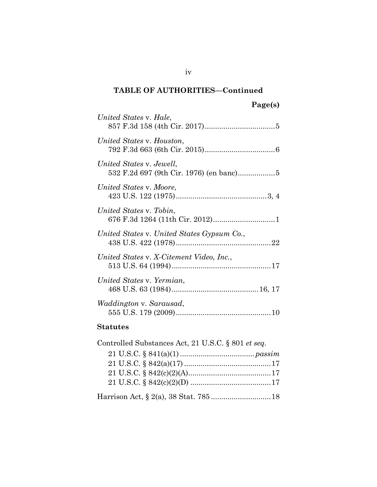## **TABLE OF AUTHORITIES—Continued**

| United States v. Hale,                          |
|-------------------------------------------------|
| United States v. Houston,                       |
| United States v. Jewell,                        |
| United States v. Moore,                         |
| United States v. Tobin,                         |
| United States v. United States Gypsum Co.,      |
| United States v. X-Citement Video, Inc.,        |
| United States v. Yermian,                       |
| <i>Waddington v. Sarausad,</i>                  |
| $\mathbb{C}$ to turk on the set of $\mathbb{C}$ |

#### **Statutes**

| Controlled Substances Act, 21 U.S.C. § 801 et seq. |  |
|----------------------------------------------------|--|
|                                                    |  |
|                                                    |  |
|                                                    |  |
|                                                    |  |
|                                                    |  |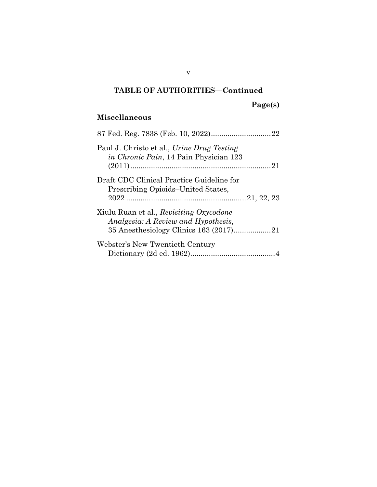## **TABLE OF AUTHORITIES—Continued**

**Page(s)** 

### **Miscellaneous**

| Paul J. Christo et al., Urine Drug Testing<br><i>in Chronic Pain</i> , 14 Pain Physician 123 |  |
|----------------------------------------------------------------------------------------------|--|
| Draft CDC Clinical Practice Guideline for<br>Prescribing Opioids-United States,              |  |
| Xiulu Ruan et al., Revisiting Oxycodone<br>Analgesia: A Review and Hypothesis,               |  |
| Webster's New Twentieth Century                                                              |  |

v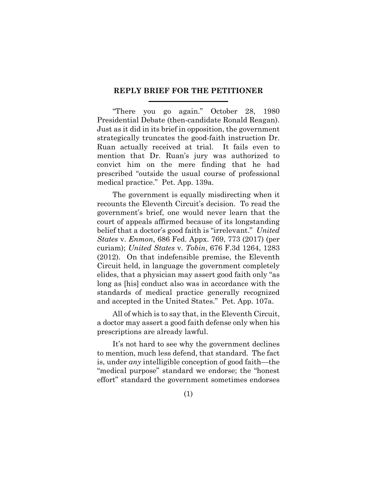#### **REPLY BRIEF FOR THE PETITIONER**

"There you go again." October 28, 1980 Presidential Debate (then-candidate Ronald Reagan). Just as it did in its brief in opposition, the government strategically truncates the good-faith instruction Dr. Ruan actually received at trial. It fails even to mention that Dr. Ruan's jury was authorized to convict him on the mere finding that he had prescribed "outside the usual course of professional medical practice." Pet. App. 139a.

<span id="page-6-1"></span><span id="page-6-0"></span>The government is equally misdirecting when it recounts the Eleventh Circuit's decision. To read the government's brief, one would never learn that the court of appeals affirmed because of its longstanding belief that a doctor's good faith is "irrelevant." *United States* v. *Enmon*, 686 Fed. Appx. 769, 773 (2017) (per curiam); *United States* v. *Tobin*, 676 F.3d 1264, 1283 (2012). On that indefensible premise, the Eleventh Circuit held, in language the government completely elides, that a physician may assert good faith only "as long as [his] conduct also was in accordance with the standards of medical practice generally recognized and accepted in the United States." Pet. App. 107a.

All of which is to say that, in the Eleventh Circuit, a doctor may assert a good faith defense only when his prescriptions are already lawful.

It's not hard to see why the government declines to mention, much less defend, that standard. The fact is, under *any* intelligible conception of good faith—the "medical purpose" standard we endorse; the "honest effort" standard the government sometimes endorses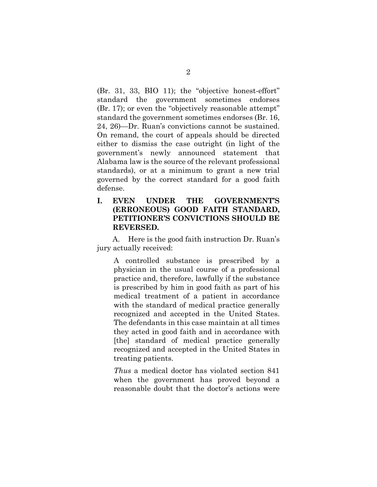(Br. 31, 33, BIO 11); the "objective honest-effort" standard the government sometimes endorses (Br. 17); or even the "objectively reasonable attempt" standard the government sometimes endorses (Br. 16, 24, 26)—Dr. Ruan's convictions cannot be sustained. On remand, the court of appeals should be directed either to dismiss the case outright (in light of the government's newly announced statement that Alabama law is the source of the relevant professional standards), or at a minimum to grant a new trial governed by the correct standard for a good faith defense.

### **I. EVEN UNDER THE GOVERNMENT'S (ERRONEOUS) GOOD FAITH STANDARD, PETITIONER'S CONVICTIONS SHOULD BE REVERSED.**

A. Here is the good faith instruction Dr. Ruan's jury actually received:

<span id="page-7-0"></span>A controlled substance is prescribed by a physician in the usual course of a professional practice and, therefore, lawfully if the substance is prescribed by him in good faith as part of his medical treatment of a patient in accordance with the standard of medical practice generally recognized and accepted in the United States. The defendants in this case maintain at all times they acted in good faith and in accordance with [the] standard of medical practice generally recognized and accepted in the United States in treating patients.

*Thus* a medical doctor has violated section 841 when the government has proved beyond a reasonable doubt that the doctor's actions were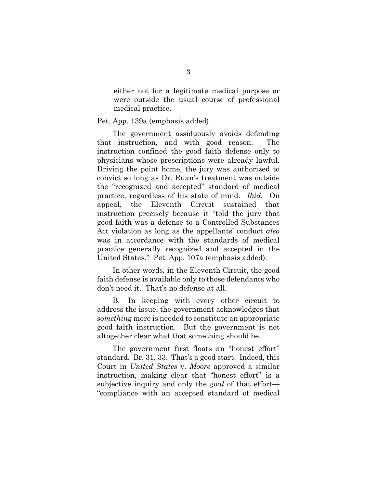either not for a legitimate medical purpose or were outside the usual course of professional medical practice.

#### Pet. App. 139a (emphasis added).

The government assiduously avoids defending that instruction, and with good reason. The instruction confined the good faith defense only to physicians whose prescriptions were already lawful. Driving the point home, the jury was authorized to convict so long as Dr. Ruan's treatment was outside the "recognized and accepted" standard of medical practice, regardless of his state of mind. *Ibid.* On appeal, the Eleventh Circuit sustained that instruction precisely because it "told the jury that good faith was a defense to a Controlled Substances Act violation as long as the appellants' conduct *also* was in accordance with the standards of medical practice generally recognized and accepted in the United States." Pet. App. 107a (emphasis added).

In other words, in the Eleventh Circuit, the good faith defense is available only to those defendants who don't need it. That's no defense at all.

B. In keeping with every other circuit to address the issue, the government acknowledges that *something* more is needed to constitute an appropriate good faith instruction. But the government is not altogether clear what that something should be.

<span id="page-8-0"></span>The government first floats an "honest effort" standard. Br. 31, 33. That's a good start. Indeed, this Court in *United States* v. *Moore* approved a similar instruction, making clear that "honest effort" is a subjective inquiry and only the *goal* of that effort— "compliance with an accepted standard of medical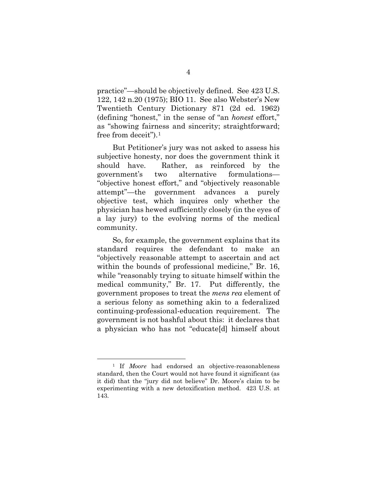<span id="page-9-1"></span><span id="page-9-0"></span>practice"—should be objectively defined. See 423 U.S. 122, 142 n.20 (1975); BIO 11. See also Webster's New Twentieth Century Dictionary 871 (2d ed. 1962) (defining "honest," in the sense of "an *honest* effort," as "showing fairness and sincerity; straightforward; free from deceit").[1](#page-9-2)

But Petitioner's jury was not asked to assess his subjective honesty, nor does the government think it should have. Rather, as reinforced by the government's two alternative formulations— "objective honest effort," and "objectively reasonable attempt"—the government advances a purely objective test, which inquires only whether the physician has hewed sufficiently closely (in the eyes of a lay jury) to the evolving norms of the medical community.

So, for example, the government explains that its standard requires the defendant to make an "objectively reasonable attempt to ascertain and act within the bounds of professional medicine," Br. 16, while "reasonably trying to situate himself within the medical community," Br. 17. Put differently, the government proposes to treat the *mens rea* element of a serious felony as something akin to a federalized continuing-professional-education requirement. The government is not bashful about this: it declares that a physician who has not "educate[d] himself about

<span id="page-9-2"></span><sup>&</sup>lt;sup>1</sup> If *Moore* had endorsed an objective-reasonableness standard, then the Court would not have found it significant (as it did) that the "jury did not believe" Dr. Moore's claim to be experimenting with a new detoxification method. 423 U.S. at 143.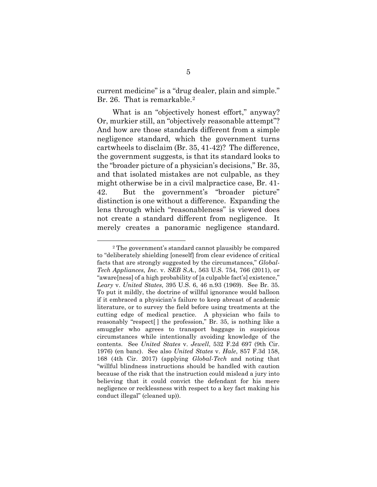current medicine" is a "drug dealer, plain and simple." Br. 26. That is remarkable.<sup>2</sup>

What is an "objectively honest effort," anyway? Or, murkier still, an "objectively reasonable attempt"? And how are those standards different from a simple negligence standard, which the government turns cartwheels to disclaim (Br. 35, 41-42)? The difference, the government suggests, is that its standard looks to the "broader picture of a physician's decisions," Br. 35, and that isolated mistakes are not culpable, as they might otherwise be in a civil malpractice case, Br. 41- 42. But the government's "broader picture" distinction is one without a difference. Expanding the lens through which "reasonableness" is viewed does not create a standard different from negligence. It merely creates a panoramic negligence standard.

<span id="page-10-4"></span><span id="page-10-3"></span><span id="page-10-2"></span><span id="page-10-1"></span><span id="page-10-0"></span><sup>2</sup> The government's standard cannot plausibly be compared to "deliberately shielding [oneself] from clear evidence of critical facts that are strongly suggested by the circumstances," *Global-Tech Appliances, Inc.* v. *SEB S.A.*, 563 U.S. 754, 766 (2011), or "aware[ness] of a high probability of [a culpable fact's] existence," *Leary* v. *United States*, 395 U.S. 6, 46 n.93 (1969). See Br. 35. To put it mildly, the doctrine of willful ignorance would balloon if it embraced a physician's failure to keep abreast of academic literature, or to survey the field before using treatments at the cutting edge of medical practice. A physician who fails to reasonably "respect[ ] the profession," Br. 35, is nothing like a smuggler who agrees to transport baggage in suspicious circumstances while intentionally avoiding knowledge of the contents. See *United States* v. *Jewell*, 532 F.2d 697 (9th Cir. 1976) (en banc). See also *United States* v. *Hale*, 857 F.3d 158, 168 (4th Cir. 2017) (applying *Global-Tech* and noting that "willful blindness instructions should be handled with caution because of the risk that the instruction could mislead a jury into believing that it could convict the defendant for his mere negligence or recklessness with respect to a key fact making his conduct illegal" (cleaned up)).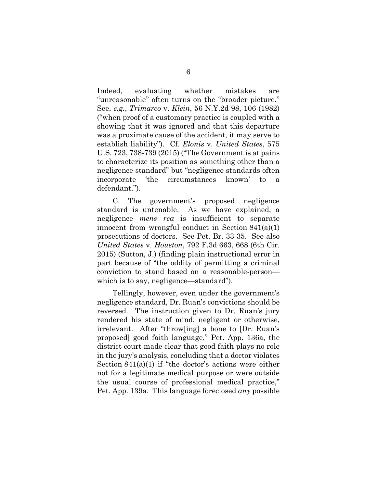<span id="page-11-1"></span><span id="page-11-0"></span>Indeed, evaluating whether mistakes are "unreasonable" often turns on the "broader picture." See, *e.g.*, *Trimarco* v. *Klein*, 56 N.Y.2d 98, 106 (1982) ("when proof of a customary practice is coupled with a showing that it was ignored and that this departure was a proximate cause of the accident, it may serve to establish liability"). Cf. *Elonis* v. *United States*, 575 U.S. 723, 738-739 (2015) ("The Government is at pains to characterize its position as something other than a negligence standard" but "negligence standards often incorporate 'the circumstances known' to a defendant.").

<span id="page-11-3"></span><span id="page-11-2"></span>C. The government's proposed negligence standard is untenable. As we have explained, a negligence *mens rea* is insufficient to separate innocent from wrongful conduct in Section 841(a)(1) prosecutions of doctors. See Pet. Br. 33-35. See also *United States* v. *Houston*, 792 F.3d 663, 668 (6th Cir. 2015) (Sutton, J.) (finding plain instructional error in part because of "the oddity of permitting a criminal conviction to stand based on a reasonable-person which is to say, negligence—standard").

Tellingly, however, even under the government's negligence standard, Dr. Ruan's convictions should be reversed. The instruction given to Dr. Ruan's jury rendered his state of mind, negligent or otherwise, irrelevant. After "throw[ing] a bone to [Dr. Ruan's proposed] good faith language," Pet. App. 136a, the district court made clear that good faith plays no role in the jury's analysis, concluding that a doctor violates Section 841(a)(1) if "the doctor's actions were either not for a legitimate medical purpose or were outside the usual course of professional medical practice," Pet. App. 139a. This language foreclosed *any* possible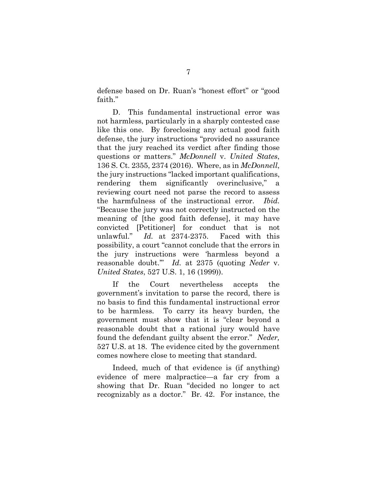defense based on Dr. Ruan's "honest effort" or "good faith."

<span id="page-12-0"></span>D. This fundamental instructional error was not harmless, particularly in a sharply contested case like this one. By foreclosing any actual good faith defense, the jury instructions "provided no assurance that the jury reached its verdict after finding those questions or matters." *McDonnell* v. *United States*, 136 S. Ct. 2355, 2374 (2016). Where, as in *McDonnell*, the jury instructions "lacked important qualifications, rendering them significantly overinclusive," a reviewing court need not parse the record to assess the harmfulness of the instructional error. *Ibid.* "Because the jury was not correctly instructed on the meaning of [the good faith defense], it may have convicted [Petitioner] for conduct that is not unlawful." *Id.* at 2374-2375. Faced with this possibility, a court "cannot conclude that the errors in the jury instructions were 'harmless beyond a reasonable doubt.'" *Id.* at 2375 (quoting *Neder* v. *United States*, 527 U.S. 1, 16 (1999)).

<span id="page-12-1"></span>If the Court nevertheless accepts the government's invitation to parse the record, there is no basis to find this fundamental instructional error to be harmless. To carry its heavy burden, the government must show that it is "clear beyond a reasonable doubt that a rational jury would have found the defendant guilty absent the error." *Neder,* 527 U.S. at 18. The evidence cited by the government comes nowhere close to meeting that standard.

Indeed, much of that evidence is (if anything) evidence of mere malpractice—a far cry from a showing that Dr. Ruan "decided no longer to act recognizably as a doctor." Br. 42. For instance, the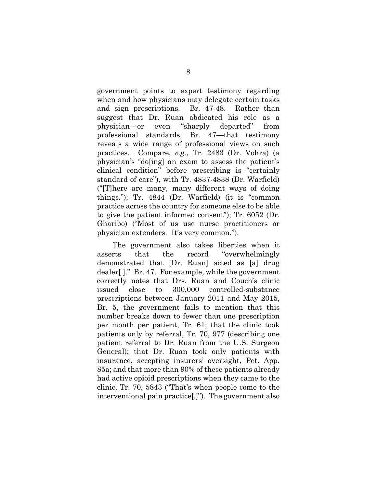government points to expert testimony regarding when and how physicians may delegate certain tasks and sign prescriptions. Br. 47-48. Rather than suggest that Dr. Ruan abdicated his role as a physician—or even "sharply departed" from professional standards, Br. 47—that testimony reveals a wide range of professional views on such practices. Compare, *e.g.*, Tr. 2483 (Dr. Vohra) (a physician's "do[ing] an exam to assess the patient's clinical condition" before prescribing is "certainly standard of care"), with Tr. 4837-4838 (Dr. Warfield) ("[T]here are many, many different ways of doing things."); Tr. 4844 (Dr. Warfield) (it is "common practice across the country for someone else to be able to give the patient informed consent"); Tr. 6052 (Dr. Gharibo) ("Most of us use nurse practitioners or physician extenders. It's very common.").

The government also takes liberties when it asserts that the record "overwhelmingly demonstrated that [Dr. Ruan] acted as [a] drug dealer[ ]." Br. 47. For example, while the government correctly notes that Drs. Ruan and Couch's clinic issued close to 300,000 controlled-substance prescriptions between January 2011 and May 2015, Br. 5, the government fails to mention that this number breaks down to fewer than one prescription per month per patient, Tr. 61; that the clinic took patients only by referral, Tr. 70, 977 (describing one patient referral to Dr. Ruan from the U.S. Surgeon General); that Dr. Ruan took only patients with insurance, accepting insurers' oversight, Pet. App. 85a; and that more than 90% of these patients already had active opioid prescriptions when they came to the clinic, Tr. 70, 5843 ("That's when people come to the interventional pain practice[.]"). The government also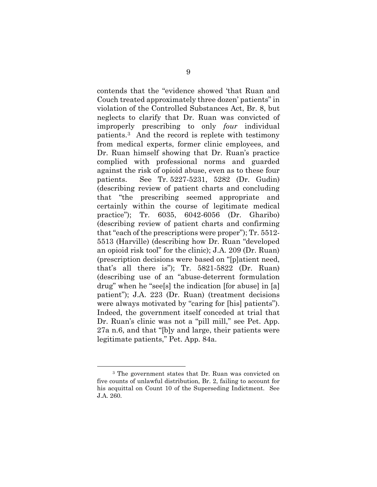contends that the "evidence showed 'that Ruan and Couch treated approximately three dozen' patients" in violation of the Controlled Substances Act, Br. 8, but neglects to clarify that Dr. Ruan was convicted of improperly prescribing to only *four* individual patients.[3](#page-14-0) And the record is replete with testimony from medical experts, former clinic employees, and Dr. Ruan himself showing that Dr. Ruan's practice complied with professional norms and guarded against the risk of opioid abuse, even as to these four patients. See Tr. 5227-5231, 5282 (Dr. Gudin) (describing review of patient charts and concluding that "the prescribing seemed appropriate and certainly within the course of legitimate medical practice"); Tr. 6035, 6042-6056 (Dr. Gharibo) (describing review of patient charts and confirming that "each of the prescriptions were proper"); Tr. 5512- 5513 (Harville) (describing how Dr. Ruan "developed an opioid risk tool" for the clinic); J.A. 209 (Dr. Ruan) (prescription decisions were based on "[p]atient need, that's all there is"); Tr. 5821-5822 (Dr. Ruan) (describing use of an "abuse-deterrent formulation drug" when he "see[s] the indication [for abuse] in [a] patient"); J.A. 223 (Dr. Ruan) (treatment decisions were always motivated by "caring for [his] patients"). Indeed, the government itself conceded at trial that Dr. Ruan's clinic was not a "pill mill," see Pet. App. 27a n.6, and that "[b]y and large, their patients were legitimate patients," Pet. App. 84a.

<span id="page-14-0"></span><sup>3</sup> The government states that Dr. Ruan was convicted on five counts of unlawful distribution, Br. 2, failing to account for his acquittal on Count 10 of the Superseding Indictment. See J.A. 260.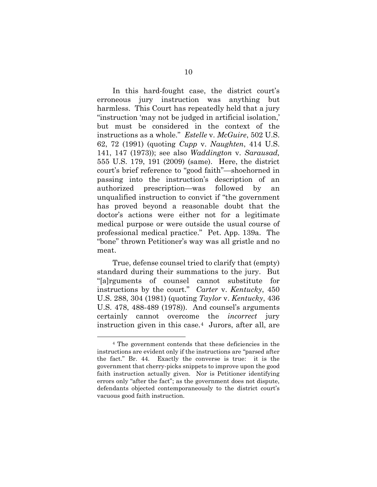<span id="page-15-4"></span><span id="page-15-2"></span><span id="page-15-1"></span>In this hard-fought case, the district court's erroneous jury instruction was anything but harmless. This Court has repeatedly held that a jury "instruction 'may not be judged in artificial isolation,' but must be considered in the context of the instructions as a whole." *Estelle* v. *McGuire*, 502 U.S. 62, 72 (1991) (quoting *Cupp* v. *Naughten*, 414 U.S. 141, 147 (1973)); see also *Waddington* v. *Sarausad,*  555 U.S. 179, 191 (2009) (same). Here, the district court's brief reference to "good faith"—shoehorned in passing into the instruction's description of an authorized prescription—was followed by an unqualified instruction to convict if "the government has proved beyond a reasonable doubt that the doctor's actions were either not for a legitimate medical purpose or were outside the usual course of professional medical practice." Pet. App. 139a. The "bone" thrown Petitioner's way was all gristle and no meat.

<span id="page-15-3"></span><span id="page-15-0"></span>True, defense counsel tried to clarify that (empty) standard during their summations to the jury. But "[a]rguments of counsel cannot substitute for instructions by the court." *Carter* v. *Kentucky*, 450 U.S. 288, 304 (1981) (quoting *Taylor* v. *Kentucky*, 436 U.S. 478, 488-489 (1978)). And counsel's arguments certainly cannot overcome the *incorrect* jury instruction given in this case.[4](#page-15-5) Jurors, after all, are

<span id="page-15-5"></span><sup>4</sup> The government contends that these deficiencies in the instructions are evident only if the instructions are "parsed after the fact." Br. 44. Exactly the converse is true: it is the government that cherry-picks snippets to improve upon the good faith instruction actually given. Nor is Petitioner identifying errors only "after the fact"; as the government does not dispute, defendants objected contemporaneously to the district court's vacuous good faith instruction.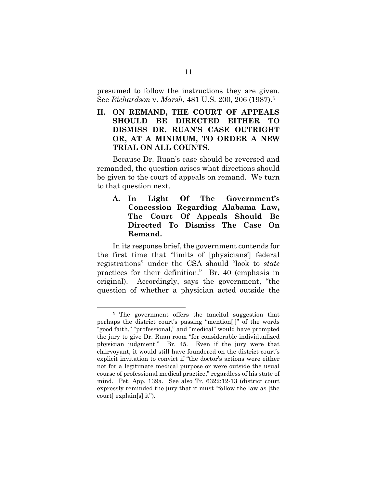<span id="page-16-2"></span>presumed to follow the instructions they are given. See *Richardson* v. *Marsh*, 481 U.S. 200, 206 (1987).[5](#page-16-3)

**II. ON REMAND, THE COURT OF APPEALS SHOULD BE DIRECTED EITHER TO DISMISS DR. RUAN'S CASE OUTRIGHT OR, AT A MINIMUM, TO ORDER A NEW TRIAL ON ALL COUNTS.**

Because Dr. Ruan's case should be reversed and remanded, the question arises what directions should be given to the court of appeals on remand. We turn to that question next.

<span id="page-16-1"></span><span id="page-16-0"></span>**A. In Light Of The Government's Concession Regarding Alabama Law, The Court Of Appeals Should Be Directed To Dismiss The Case On Remand.** 

In its response brief, the government contends for the first time that "limits of [physicians'] federal registrations" under the CSA should "look to *state*  practices for their definition." Br. 40 (emphasis in original). Accordingly, says the government, "the question of whether a physician acted outside the

<span id="page-16-3"></span><sup>&</sup>lt;sup>5</sup> The government offers the fanciful suggestion that perhaps the district court's passing "mention[ ]" of the words "good faith," "professional," and "medical" would have prompted the jury to give Dr. Ruan room "for considerable individualized physician judgment." Br. 45. Even if the jury were that clairvoyant, it would still have foundered on the district court's explicit invitation to convict if "the doctor's actions were either not for a legitimate medical purpose or were outside the usual course of professional medical practice," regardless of his state of mind. Pet. App. 139a. See also Tr. 6322:12-13 (district court expressly reminded the jury that it must "follow the law as [the court] explain[s] it").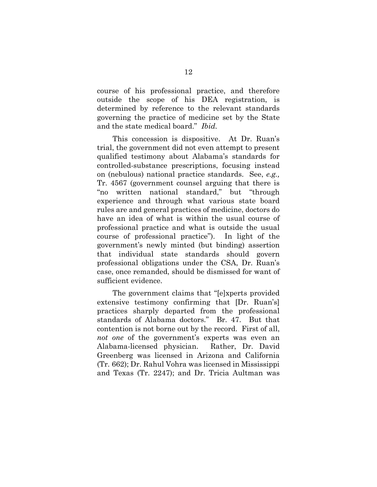course of his professional practice, and therefore outside the scope of his DEA registration, is determined by reference to the relevant standards governing the practice of medicine set by the State and the state medical board." *Ibid.* 

This concession is dispositive. At Dr. Ruan's trial, the government did not even attempt to present qualified testimony about Alabama's standards for controlled-substance prescriptions, focusing instead on (nebulous) national practice standards. See, *e.g.,*  Tr. 4567 (government counsel arguing that there is "no written national standard," but "through experience and through what various state board rules are and general practices of medicine, doctors do have an idea of what is within the usual course of professional practice and what is outside the usual course of professional practice"). In light of the government's newly minted (but binding) assertion that individual state standards should govern professional obligations under the CSA, Dr. Ruan's case, once remanded, should be dismissed for want of sufficient evidence.

The government claims that "[e]xperts provided extensive testimony confirming that [Dr. Ruan's] practices sharply departed from the professional standards of Alabama doctors." Br. 47. But that contention is not borne out by the record. First of all, *not one* of the government's experts was even an Alabama-licensed physician. Rather, Dr. David Greenberg was licensed in Arizona and California (Tr. 662); Dr. Rahul Vohra was licensed in Mississippi and Texas (Tr. 2247); and Dr. Tricia Aultman was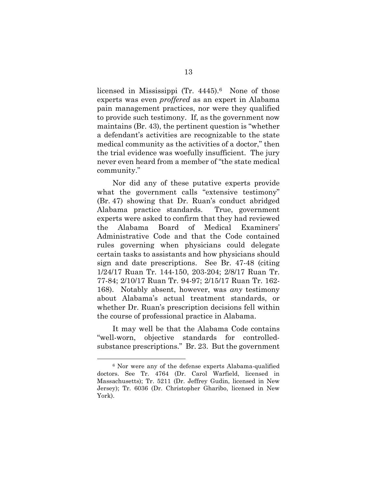licensed in Mississippi (Tr. 4445).<sup>6</sup> None of those experts was even *proffered* as an expert in Alabama pain management practices, nor were they qualified to provide such testimony. If, as the government now maintains (Br. 43), the pertinent question is "whether a defendant's activities are recognizable to the state medical community as the activities of a doctor," then the trial evidence was woefully insufficient. The jury never even heard from a member of "the state medical community."

Nor did any of these putative experts provide what the government calls "extensive testimony" (Br. 47) showing that Dr. Ruan's conduct abridged Alabama practice standards. True, government experts were asked to confirm that they had reviewed the Alabama Board of Medical Examiners' Administrative Code and that the Code contained rules governing when physicians could delegate certain tasks to assistants and how physicians should sign and date prescriptions. See Br. 47-48 (citing 1/24/17 Ruan Tr. 144-150, 203-204; 2/8/17 Ruan Tr. 77-84; 2/10/17 Ruan Tr. 94-97; 2/15/17 Ruan Tr. 162- 168). Notably absent, however, was *any* testimony about Alabama's actual treatment standards, or whether Dr. Ruan's prescription decisions fell within the course of professional practice in Alabama.

It may well be that the Alabama Code contains "well-worn, objective standards for controlledsubstance prescriptions." Br. 23. But the government

<span id="page-18-0"></span><sup>6</sup> Nor were any of the defense experts Alabama-qualified doctors. See Tr. 4764 (Dr. Carol Warfield, licensed in Massachusetts); Tr. 5211 (Dr. Jeffrey Gudin, licensed in New Jersey); Tr. 6036 (Dr. Christopher Gharibo, licensed in New York).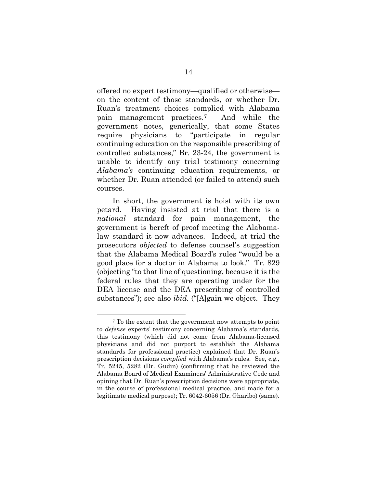offered no expert testimony—qualified or otherwise on the content of those standards, or whether Dr. Ruan's treatment choices complied with Alabama pain management practices.[7](#page-19-0) And while the government notes, generically, that some States require physicians to "participate in regular continuing education on the responsible prescribing of controlled substances," Br*.* 23-24, the government is unable to identify any trial testimony concerning *Alabama's* continuing education requirements, or whether Dr. Ruan attended (or failed to attend) such courses.

In short, the government is hoist with its own petard. Having insisted at trial that there is a *national* standard for pain management, the government is bereft of proof meeting the Alabamalaw standard it now advances. Indeed, at trial the prosecutors *objected* to defense counsel's suggestion that the Alabama Medical Board's rules "would be a good place for a doctor in Alabama to look." Tr. 829 (objecting "to that line of questioning, because it is the federal rules that they are operating under for the DEA license and the DEA prescribing of controlled substances"); see also *ibid.* ("[A]gain we object. They

<span id="page-19-0"></span><sup>7</sup> To the extent that the government now attempts to point to *defense* experts' testimony concerning Alabama's standards, this testimony (which did not come from Alabama-licensed physicians and did not purport to establish the Alabama standards for professional practice) explained that Dr. Ruan's prescription decisions *complied* with Alabama's rules. See, *e.g.,*  Tr. 5245, 5282 (Dr. Gudin) (confirming that he reviewed the Alabama Board of Medical Examiners' Administrative Code and opining that Dr. Ruan's prescription decisions were appropriate, in the course of professional medical practice, and made for a legitimate medical purpose); Tr. 6042-6056 (Dr. Gharibo) (same).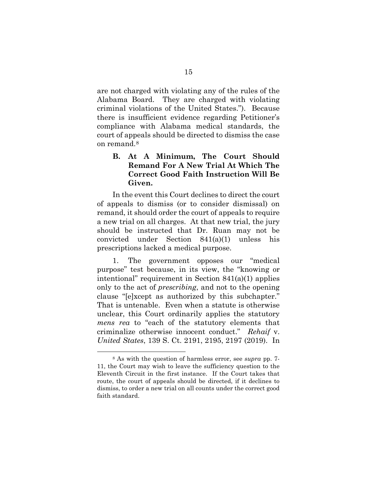are not charged with violating any of the rules of the Alabama Board. They are charged with violating criminal violations of the United States."). Because there is insufficient evidence regarding Petitioner's compliance with Alabama medical standards, the court of appeals should be directed to dismiss the case on remand.[8](#page-20-2)

### <span id="page-20-0"></span>**B. At A Minimum, The Court Should Remand For A New Trial At Which The Correct Good Faith Instruction Will Be Given.**

In the event this Court declines to direct the court of appeals to dismiss (or to consider dismissal) on remand, it should order the court of appeals to require a new trial on all charges. At that new trial, the jury should be instructed that Dr. Ruan may not be convicted under Section 841(a)(1) unless his prescriptions lacked a medical purpose.

1. The government opposes our "medical purpose" test because, in its view, the "knowing or intentional" requirement in Section 841(a)(1) applies only to the act of *prescribing*, and not to the opening clause "[e]xcept as authorized by this subchapter." That is untenable. Even when a statute is otherwise unclear, this Court ordinarily applies the statutory *mens rea* to "each of the statutory elements that criminalize otherwise innocent conduct." *Rehaif* v. *United States*, 139 S. Ct. 2191, 2195, 2197 (2019). In

<span id="page-20-2"></span><span id="page-20-1"></span><sup>8</sup> As with the question of harmless error, see *supra* pp. 7- 11, the Court may wish to leave the sufficiency question to the Eleventh Circuit in the first instance. If the Court takes that route, the court of appeals should be directed, if it declines to dismiss, to order a new trial on all counts under the correct good faith standard.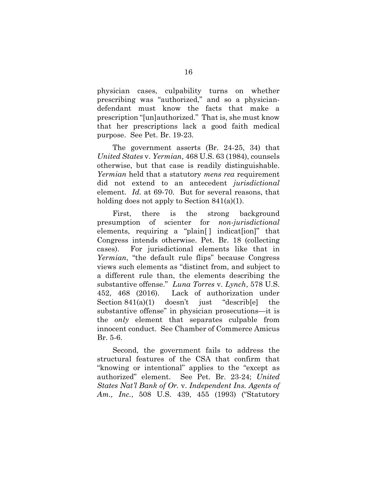physician cases, culpability turns on whether prescribing was "authorized," and so a physiciandefendant must know the facts that make a prescription "[un]authorized." That is, she must know that her prescriptions lack a good faith medical purpose. See Pet. Br. 19-23.

<span id="page-21-2"></span>The government asserts (Br. 24-25, 34) that *United States* v. *Yermian*, 468 U.S. 63 (1984), counsels otherwise, but that case is readily distinguishable. *Yermian* held that a statutory *mens rea* requirement did not extend to an antecedent *jurisdictional* element. *Id.* at 69-70. But for several reasons, that holding does not apply to Section 841(a)(1).

First, there is the strong background presumption of scienter for *non-jurisdictional* elements, requiring a "plain<sup>[]</sup> indicat<sup>[ion]"</sup> that Congress intends otherwise. Pet. Br. 18 (collecting cases). For jurisdictional elements like that in *Yermian*, "the default rule flips" because Congress views such elements as "distinct from, and subject to a different rule than, the elements describing the substantive offense." *Luna Torres* v. *Lynch*, 578 U.S. 452, 468 (2016). Lack of authorization under Section 841(a)(1) doesn't just "describ<sup>[e]</sup> the substantive offense" in physician prosecutions—it is the *only* element that separates culpable from innocent conduct. See Chamber of Commerce Amicus Br. 5-6.

<span id="page-21-1"></span><span id="page-21-0"></span>Second, the government fails to address the structural features of the CSA that confirm that "knowing or intentional" applies to the "except as authorized" element. See Pet. Br. 23-24; *United States Nat'l Bank of Or.* v. *Independent Ins. Agents of Am., Inc.*, 508 U.S. 439, 455 (1993) ("Statutory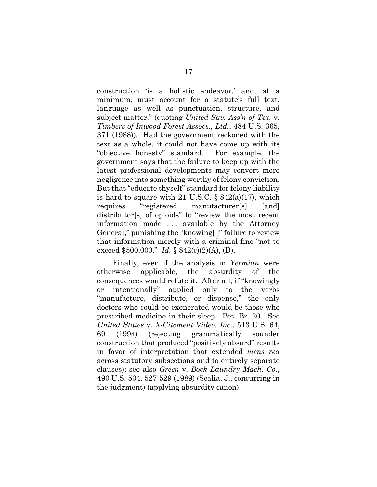<span id="page-22-1"></span>construction 'is a holistic endeavor,' and, at a minimum, must account for a statute's full text, language as well as punctuation, structure, and subject matter." (quoting *United Sav. Ass'n of Tex.* v. *Timbers of Inwood Forest Assocs., Ltd.*, 484 U.S. 365, 371 (1988)). Had the government reckoned with the text as a whole, it could not have come up with its "objective honesty" standard. For example, the government says that the failure to keep up with the latest professional developments may convert mere negligence into something worthy of felony conviction. But that "educate thyself" standard for felony liability is hard to square with 21 U.S.C.  $\S 842(a)(17)$ , which requires "registered manufacturer[s] [and] distributor[s] of opioids" to "review the most recent information made . . . available by the Attorney General," punishing the "knowing[ ]" failure to review that information merely with a criminal fine "not to exceed \$500,000." *Id.* § 842(c)(2)(A), (D).

<span id="page-22-5"></span><span id="page-22-4"></span><span id="page-22-3"></span><span id="page-22-2"></span><span id="page-22-0"></span>Finally, even if the analysis in *Yermian* were otherwise applicable, the absurdity of the consequences would refute it. After all, if "knowingly or intentionally" applied only to the verbs "manufacture, distribute, or dispense," the only doctors who could be exonerated would be those who prescribed medicine in their sleep. Pet. Br. 20. See *United States* v. *X-Citement Video, Inc.*, 513 U.S. 64, 69 (1994) (rejecting grammatically sounder construction that produced "positively absurd" results in favor of interpretation that extended *mens rea*  across statutory subsections and to entirely separate clauses); see also *Green* v. *Bock Laundry Mach. Co.*, 490 U.S. 504, 527-529 (1989) (Scalia, J., concurring in the judgment) (applying absurdity canon).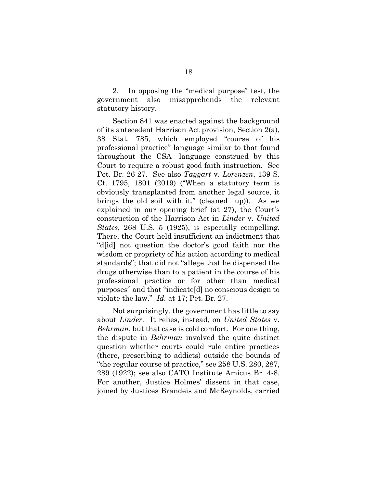2. In opposing the "medical purpose" test, the government also misapprehends the relevant statutory history.

<span id="page-23-3"></span><span id="page-23-1"></span>Section 841 was enacted against the background of its antecedent Harrison Act provision, Section 2(a), 38 Stat. 785, which employed "course of his professional practice" language similar to that found throughout the CSA—language construed by this Court to require a robust good faith instruction. See Pet. Br. 26-27. See also *Taggart* v. *Lorenzen*, 139 S. Ct. 1795, 1801 (2019) ("When a statutory term is obviously transplanted from another legal source, it brings the old soil with it." (cleaned up)). As we explained in our opening brief (at 27), the Court's construction of the Harrison Act in *Linder* v. *United States*, 268 U.S. 5 (1925), is especially compelling. There, the Court held insufficient an indictment that "d[id] not question the doctor's good faith nor the wisdom or propriety of his action according to medical standards"; that did not "allege that he dispensed the drugs otherwise than to a patient in the course of his professional practice or for other than medical purposes" and that "indicate[d] no conscious design to violate the law." *Id.* at 17; Pet. Br. 27.

<span id="page-23-2"></span><span id="page-23-0"></span>Not surprisingly, the government has little to say about *Linder*. It relies, instead, on *United States* v. *Behrman*, but that case is cold comfort. For one thing, the dispute in *Behrman* involved the quite distinct question whether courts could rule entire practices (there, prescribing to addicts) outside the bounds of "the regular course of practice," see 258 U.S. 280, 287, 289 (1922); see also CATO Institute Amicus Br. 4-8. For another, Justice Holmes' dissent in that case, joined by Justices Brandeis and McReynolds, carried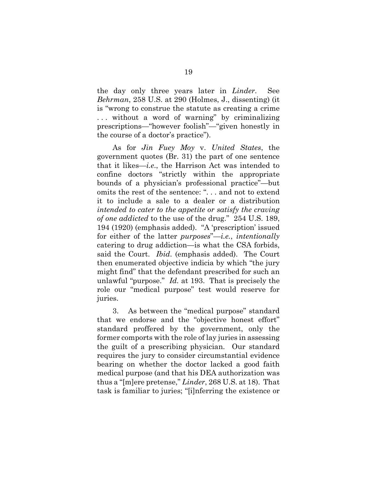<span id="page-24-2"></span><span id="page-24-1"></span>the day only three years later in *Linder*. See *Behrman*, 258 U.S. at 290 (Holmes, J., dissenting) (it is "wrong to construe the statute as creating a crime . . . without a word of warning" by criminalizing prescriptions—"however foolish"—"given honestly in the course of a doctor's practice").

<span id="page-24-0"></span>As for *Jin Fuey Moy* v. *United States*, the government quotes (Br. 31) the part of one sentence that it likes—*i.e*., the Harrison Act was intended to confine doctors "strictly within the appropriate bounds of a physician's professional practice"—but omits the rest of the sentence: ". . . and not to extend it to include a sale to a dealer or a distribution *intended to cater to the appetite or satisfy the craving of one addicted* to the use of the drug." 254 U.S. 189, 194 (1920) (emphasis added). "A 'prescription' issued for either of the latter *purposes*"—*i.e.*, *intentionally*  catering to drug addiction—is what the CSA forbids, said the Court. *Ibid*. (emphasis added). The Court then enumerated objective indicia by which "the jury might find" that the defendant prescribed for such an unlawful "purpose." *Id.* at 193. That is precisely the role our "medical purpose" test would reserve for juries.

3. As between the "medical purpose" standard that we endorse and the "objective honest effort" standard proffered by the government, only the former comports with the role of lay juries in assessing the guilt of a prescribing physician. Our standard requires the jury to consider circumstantial evidence bearing on whether the doctor lacked a good faith medical purpose (and that his DEA authorization was thus a "[m]ere pretense," *Linder*, 268 U.S. at 18). That task is familiar to juries; "[i]nferring the existence or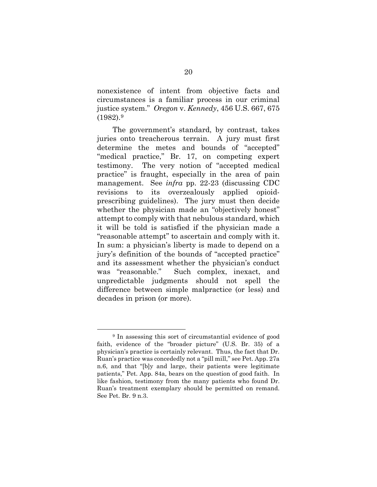<span id="page-25-0"></span>nonexistence of intent from objective facts and circumstances is a familiar process in our criminal justice system." *Oregon* v. *Kennedy*, 456 U.S. 667, 675  $(1982).9$ 

The government's standard, by contrast, takes juries onto treacherous terrain. A jury must first determine the metes and bounds of "accepted" "medical practice," Br. 17, on competing expert testimony. The very notion of "accepted medical practice" is fraught, especially in the area of pain management. See *infra* pp. 22-23 (discussing CDC revisions to its overzealously applied opioidprescribing guidelines). The jury must then decide whether the physician made an "objectively honest" attempt to comply with that nebulous standard, which it will be told is satisfied if the physician made a "reasonable attempt" to ascertain and comply with it. In sum: a physician's liberty is made to depend on a jury's definition of the bounds of "accepted practice" and its assessment whether the physician's conduct was "reasonable." Such complex, inexact, and unpredictable judgments should not spell the difference between simple malpractice (or less) and decades in prison (or more).

<span id="page-25-1"></span><sup>9</sup> In assessing this sort of circumstantial evidence of good faith, evidence of the "broader picture" (U.S. Br. 35) of a physician's practice is certainly relevant. Thus, the fact that Dr. Ruan's practice was concededly not a "pill mill," see Pet. App. 27a n.6, and that "[b]y and large, their patients were legitimate patients," Pet. App. 84a, bears on the question of good faith. In like fashion, testimony from the many patients who found Dr. Ruan's treatment exemplary should be permitted on remand. See Pet. Br. 9 n.3.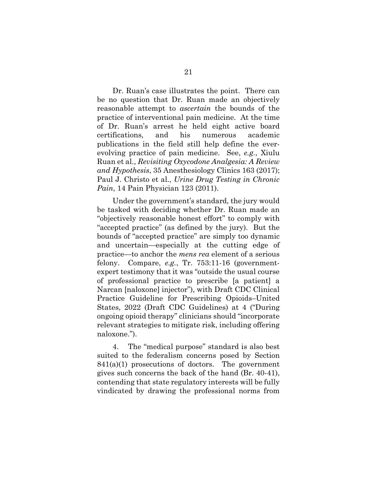Dr. Ruan's case illustrates the point. There can be no question that Dr. Ruan made an objectively reasonable attempt to *ascertain* the bounds of the practice of interventional pain medicine. At the time of Dr. Ruan's arrest he held eight active board certifications, and his numerous academic publications in the field still help define the everevolving practice of pain medicine. See, *e.g.*, Xiulu Ruan et al., *Revisiting Oxycodone Analgesia: A Review and Hypothesis*, 35 Anesthesiology Clinics 163 (2017); Paul J. Christo et al., *Urine Drug Testing in Chronic Pain*, 14 Pain Physician 123 (2011).

<span id="page-26-2"></span><span id="page-26-0"></span>Under the government's standard, the jury would be tasked with deciding whether Dr. Ruan made an "objectively reasonable honest effort" to comply with "accepted practice" (as defined by the jury). But the bounds of "accepted practice" are simply too dynamic and uncertain—especially at the cutting edge of practice—to anchor the *mens rea* element of a serious felony. Compare, *e.g.*, Tr. 753:11-16 (governmentexpert testimony that it was "outside the usual course of professional practice to prescribe [a patient] a Narcan [naloxone] injector"), with Draft CDC Clinical Practice Guideline for Prescribing Opioids–United States, 2022 (Draft CDC Guidelines) at 4 ("During ongoing opioid therapy" clinicians should "incorporate relevant strategies to mitigate risk, including offering naloxone.").

<span id="page-26-1"></span>4. The "medical purpose" standard is also best suited to the federalism concerns posed by Section  $841(a)(1)$  prosecutions of doctors. The government gives such concerns the back of the hand (Br. 40-41), contending that state regulatory interests will be fully vindicated by drawing the professional norms from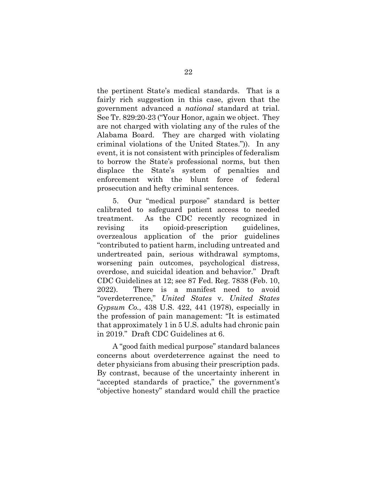the pertinent State's medical standards. That is a fairly rich suggestion in this case, given that the government advanced a *national* standard at trial. See Tr. 829:20-23 ("Your Honor, again we object. They are not charged with violating any of the rules of the Alabama Board. They are charged with violating criminal violations of the United States.")). In any event, it is not consistent with principles of federalism to borrow the State's professional norms, but then displace the State's system of penalties and enforcement with the blunt force of federal prosecution and hefty criminal sentences.

5. Our "medical purpose" standard is better calibrated to safeguard patient access to needed treatment. As the CDC recently recognized in revising its opioid-prescription guidelines, overzealous application of the prior guidelines "contributed to patient harm, including untreated and undertreated pain, serious withdrawal symptoms, worsening pain outcomes, psychological distress, overdose, and suicidal ideation and behavior." Draft CDC Guidelines at 12; see 87 Fed. Reg. 7838 (Feb. 10, 2022). There is a manifest need to avoid "overdeterrence," *United States* v. *United States Gypsum Co.*, 438 U.S. 422, 441 (1978), especially in the profession of pain management: "It is estimated that approximately 1 in 5 U.S. adults had chronic pain in 2019." Draft CDC Guidelines at 6.

<span id="page-27-2"></span><span id="page-27-1"></span><span id="page-27-0"></span>A "good faith medical purpose" standard balances concerns about overdeterrence against the need to deter physicians from abusing their prescription pads. By contrast, because of the uncertainty inherent in "accepted standards of practice," the government's "objective honesty" standard would chill the practice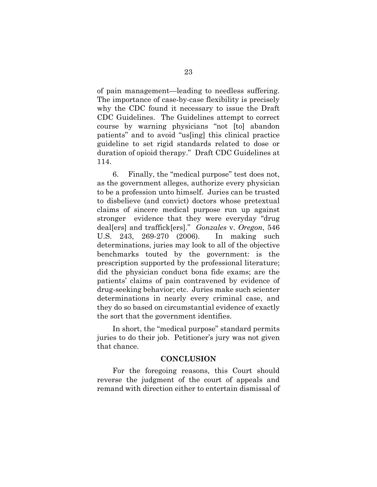of pain management—leading to needless suffering. The importance of case-by-case flexibility is precisely why the CDC found it necessary to issue the Draft CDC Guidelines. The Guidelines attempt to correct course by warning physicians "not [to] abandon patients" and to avoid "us[ing] this clinical practice guideline to set rigid standards related to dose or duration of opioid therapy." Draft CDC Guidelines at 114.

<span id="page-28-2"></span><span id="page-28-1"></span>6. Finally, the "medical purpose" test does not, as the government alleges, authorize every physician to be a profession unto himself. Juries can be trusted to disbelieve (and convict) doctors whose pretextual claims of sincere medical purpose run up against stronger evidence that they were everyday "drug deal[ers] and traffick[ers]." *Gonzales* v. *Oregon*, 546 U.S. 243, 269-270 (2006). In making such determinations, juries may look to all of the objective benchmarks touted by the government: is the prescription supported by the professional literature; did the physician conduct bona fide exams; are the patients' claims of pain contravened by evidence of drug-seeking behavior; etc. Juries make such scienter determinations in nearly every criminal case, and they do so based on circumstantial evidence of exactly the sort that the government identifies.

In short, the "medical purpose" standard permits juries to do their job. Petitioner's jury was not given that chance.

### <span id="page-28-0"></span>**CONCLUSION**

For the foregoing reasons, this Court should reverse the judgment of the court of appeals and remand with direction either to entertain dismissal of